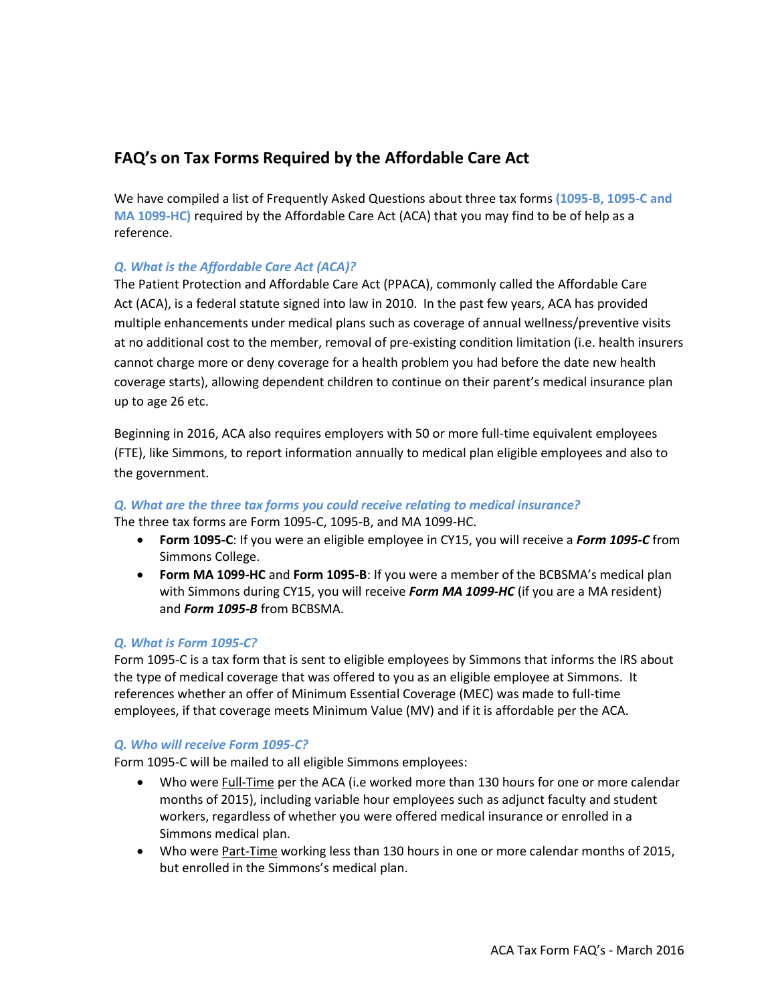# **FAQ's on Tax Forms Required by the Affordable Care Act**

We have compiled a list of Frequently Asked Questions about three tax forms **(1095-B, 1095-C and MA 1099-HC)** required by the Affordable Care Act (ACA) that you may find to be of help as a reference.

# *Q. What is the Affordable Care Act (ACA)?*

The Patient Protection and Affordable Care Act (PPACA), commonly called the Affordable Care Act (ACA), is [a federal statute](https://en.wikipedia.org/wiki/U.S._federal_law) signed into law in 2010. In the past few years, ACA has provided multiple enhancements under medical plans such as coverage of annual wellness/preventive visits at no additional cost to the member, removal of pre-existing condition limitation (i.e. health insurers cannot charge more or deny coverage for a health problem you had before the date new health coverage starts), allowing dependent children to continue on their parent's medical insurance plan up to age 26 etc.

Beginning in 2016, ACA also requires employers with 50 or more full-time equivalent employees (FTE), like Simmons, to report information annually to medical plan eligible employees and also to the government.

# *Q. What are the three tax forms you could receive relating to medical insurance?*

The three tax forms are Form 1095-C, 1095-B, and MA 1099-HC.

- **Form 1095-C**: If you were an eligible employee in CY15, you will receive a *Form 1095-C* from Simmons College.
- **Form MA 1099-HC** and **Form 1095-B**: If you were a member of the BCBSMA's medical plan with Simmons during CY15, you will receive *Form MA 1099-HC* (if you are a MA resident) and *Form 1095-B* from BCBSMA.

# *Q. What is Form 1095-C?*

Form 1095-C is a tax form that is sent to eligible employees by Simmons that informs the IRS about the type of medical coverage that was offered to you as an eligible employee at Simmons. It references whether an offer of Minimum Essential Coverage (MEC) was made to full-time employees, if that coverage meets Minimum Value (MV) and if it is affordable per the ACA.

# *Q. Who will receive Form 1095-C?*

Form 1095-C will be mailed to all eligible Simmons employees:

- Who were Full-Time per the ACA (i.e worked more than 130 hours for one or more calendar months of 2015), including variable hour employees such as adjunct faculty and student workers, regardless of whether you were offered medical insurance or enrolled in a Simmons medical plan.
- Who were Part-Time working less than 130 hours in one or more calendar months of 2015, but enrolled in the Simmons's medical plan.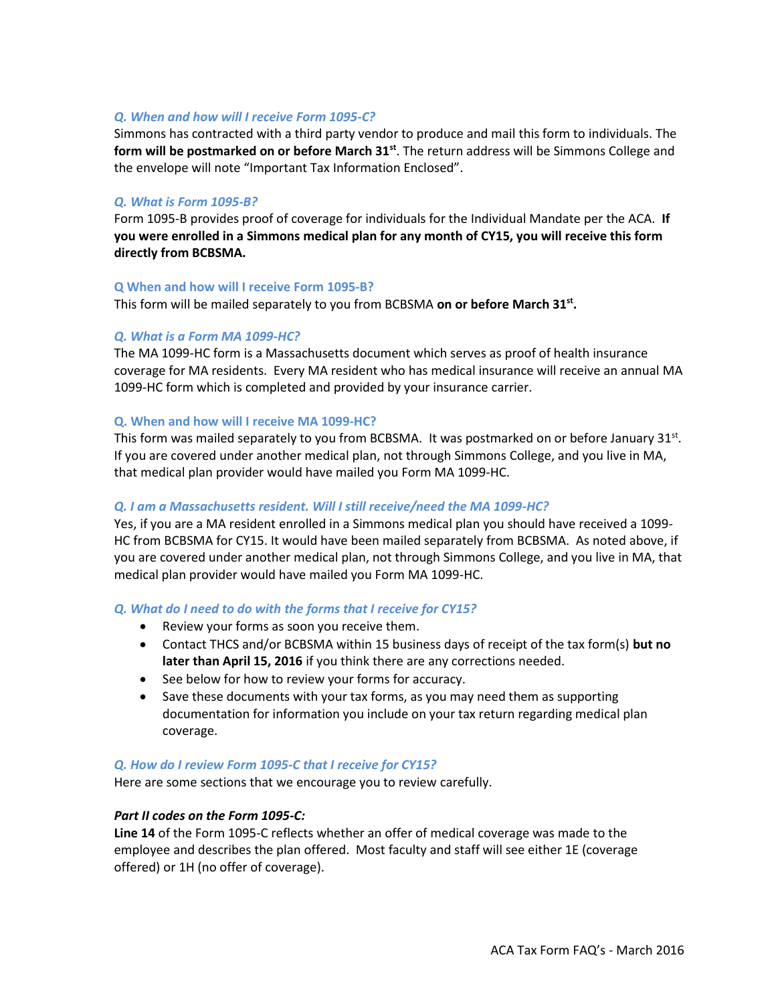## *Q. When and how will I receive Form 1095-C?*

Simmons has contracted with a third party vendor to produce and mail this form to individuals. The **form will be postmarked on or before March 31st**. The return address will be Simmons College and the envelope will note "Important Tax Information Enclosed".

### *Q. What is Form 1095-B?*

Form 1095-B provides proof of coverage for individuals for the Individual Mandate per the ACA. **If you were enrolled in a Simmons medical plan for any month of CY15, you will receive this form directly from BCBSMA.** 

#### **Q When and how will I receive Form 1095-B?**

This form will be mailed separately to you from BCBSMA **on or before March 31st .** 

#### *Q. What is a Form MA 1099-HC?*

The MA 1099-HC form is a Massachusetts document which serves as proof of health insurance coverage for MA residents. Every MA resident who has medical insurance will receive an annual MA 1099-HC form which is completed and provided by your insurance carrier.

#### **Q. When and how will I receive MA 1099-HC?**

This form was mailed separately to you from BCBSMA. It was postmarked on or before January 31st. If you are covered under another medical plan, not through Simmons College, and you live in MA, that medical plan provider would have mailed you Form MA 1099-HC.

#### *Q. I am a Massachusetts resident. Will I still receive/need the MA 1099-HC?*

Yes, if you are a MA resident enrolled in a Simmons medical plan you should have received a 1099- HC from BCBSMA for CY15. It would have been mailed separately from BCBSMA. As noted above, if you are covered under another medical plan, not through Simmons College, and you live in MA, that medical plan provider would have mailed you Form MA 1099-HC.

#### *Q. What do I need to do with the forms that I receive for CY15?*

- Review your forms as soon you receive them.
- Contact THCS and/or BCBSMA within 15 business days of receipt of the tax form(s) **but no later than April 15, 2016** if you think there are any corrections needed.
- See below for how to review your forms for accuracy.
- Save these documents with your tax forms, as you may need them as supporting documentation for information you include on your tax return regarding medical plan coverage.

## *Q. How do I review Form 1095-C that I receive for CY15?*

Here are some sections that we encourage you to review carefully.

#### *Part II codes on the Form 1095-C:*

**Line 14** of the Form 1095-C reflects whether an offer of medical coverage was made to the employee and describes the plan offered. Most faculty and staff will see either 1E (coverage offered) or 1H (no offer of coverage).